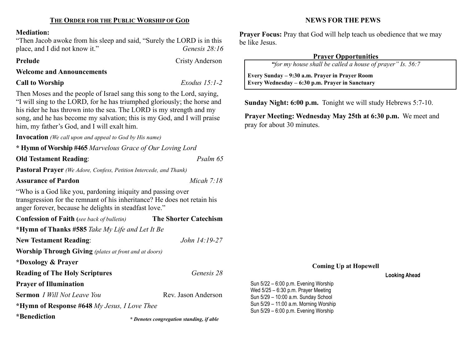#### Mediation:

"Then Jacob awoke from his sleep and said, "Surely the LORD is in this place, and I did not know it." Genesis 28:16

Prelude Cristy Anderson

Welcome and Announcements

## Call to Worship Exodus 15:1-2

 $\overline{\phantom{a}}$ 

Then Moses and the people of Israel sang this song to the Lord, saying, "I will sing to the LORD, for he has triumphed gloriously; the horse and his rider he has thrown into the sea. The LORD is my strength and my song, and he has become my salvation; this is my God, and I will praise him, my father's God, and I will exalt him.

Invocation (We call upon and appeal to God by His name)

\* Hymn of Worship #465 Marvelous Grace of Our Loving Lord

Old Testament Reading: Psalm 65

Pastoral Prayer (We Adore, Confess, Petition Intercede, and Thank)

Assurance of Pardon Micah 7:18

"Who is a God like you, pardoning iniquity and passing over transgression for the remnant of his inheritance? He does not retain his anger forever, because he delights in steadfast love."

| <b>Confession of Faith</b> (see back of bulletin)            | <b>The Shorter Catechism</b>                    |  |  |  |
|--------------------------------------------------------------|-------------------------------------------------|--|--|--|
|                                                              | *Hymn of Thanks #585 Take My Life and Let It Be |  |  |  |
| <b>New Testament Reading:</b>                                | John 14:19-27                                   |  |  |  |
| <b>Worship Through Giving</b> (plates at front and at doors) |                                                 |  |  |  |
| *Doxology & Prayer                                           |                                                 |  |  |  |
| <b>Reading of The Holy Scriptures</b>                        | Genesis 28                                      |  |  |  |
| <b>Prayer of Illumination</b>                                |                                                 |  |  |  |
| <b>Sermon</b> <i>I Will Not Leave You</i>                    | Rev. Jason Anderson                             |  |  |  |
| *Hymn of Response #648 My Jesus, I Love Thee                 |                                                 |  |  |  |
| *Ronodiction                                                 |                                                 |  |  |  |

\*Benediction

\* Denotes congregation standing, if able

NEWS FOR THE PEWS

**Prayer Focus:** Pray that God will help teach us obedience that we may be like Jesus.

# Prayer Opportunities

"for my house shall be called a house of prayer" Is. 56:7

 Every Sunday – 9:30 a.m. Prayer in Prayer Room Every Wednesday – 6:30 p.m. Prayer in Sanctuary

Sunday Night: 6:00 p.m. Tonight we will study Hebrews 5:7-10.

Prayer Meeting: Wednesday May 25th at 6:30 p.m. We meet and pray for about 30 minutes.

# Coming Up at Hopewell

### Looking Ahead

Sun 5/22 – 6:00 p.m. Evening Worship Wed 5/25 – 6:30 p.m. Prayer Meeting Sun 5/29 – 10:00 a.m. Sunday School Sun 5/29 – 11:00 a.m. Morning Worship Sun 5/29 – 6:00 p.m. Evening Worship